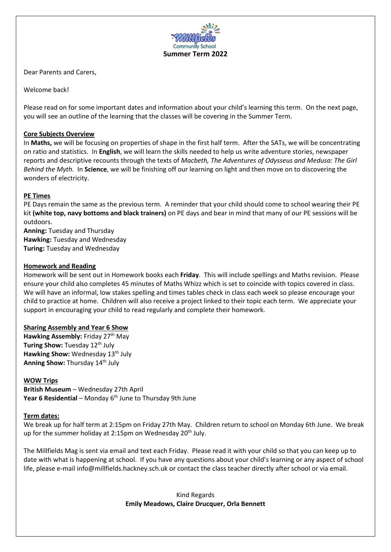

Dear Parents and Carers,

Welcome back!

Please read on for some important dates and information about your child's learning this term. On the next page, you will see an outline of the learning that the classes will be covering in the Summer Term.

## **Core Subjects Overview**

In **Maths,** we will be focusing on properties of shape in the first half term. After the SATs, we will be concentrating on ratio and statistics. In **English**, we will learn the skills needed to help us write adventure stories, newspaper reports and descriptive recounts through the texts of *Macbeth, The Adventures of Odysseus and Medusa: The Girl Behind the Myth.* In **Science**, we will be finishing off our learning on light and then move on to discovering the wonders of electricity.

## **PE Times**

PE Days remain the same as the previous term. A reminder that your child should come to school wearing their PE kit **(white top, navy bottoms and black trainers)** on PE days and bear in mind that many of our PE sessions will be outdoors.

**Anning:** Tuesday and Thursday **Hawking:** Tuesday and Wednesday **Turing:** Tuesday and Wednesday

## **Homework and Reading**

Homework will be sent out in Homework books each **Friday**. This will include spellings and Maths revision. Please ensure your child also completes 45 minutes of Maths Whizz which is set to coincide with topics covered in class. We will have an informal, low stakes spelling and times tables check in class each week so please encourage your child to practice at home. Children will also receive a project linked to their topic each term. We appreciate your support in encouraging your child to read regularly and complete their homework.

## **Sharing Assembly and Year 6 Show**

**Hawking Assembly: Friday 27<sup>th</sup> May Turing Show:** Tuesday 12<sup>th</sup> July Hawking Show: Wednesday 13<sup>th</sup> July **Anning Show: Thursday 14<sup>th</sup> July** 

## **WOW Trips**

**British Museum** – Wednesday 27th April **Year 6 Residential** – Monday 6<sup>th</sup> June to Thursday 9th June

## **Term dates:**

We break up for half term at 2:15pm on Friday 27th May. Children return to school on Monday 6th June. We break up for the summer holiday at 2:15pm on Wednesday  $20<sup>th</sup>$  July.

The Millfields Mag is sent via email and text each Friday. Please read it with your child so that you can keep up to date with what is happening at school. If you have any questions about your child's learning or any aspect of school life, please e-mail info@millfields.hackney.sch.uk or contact the class teacher directly after school or via email.

# Kind Regards **Emily Meadows, Claire Drucquer, Orla Bennett**